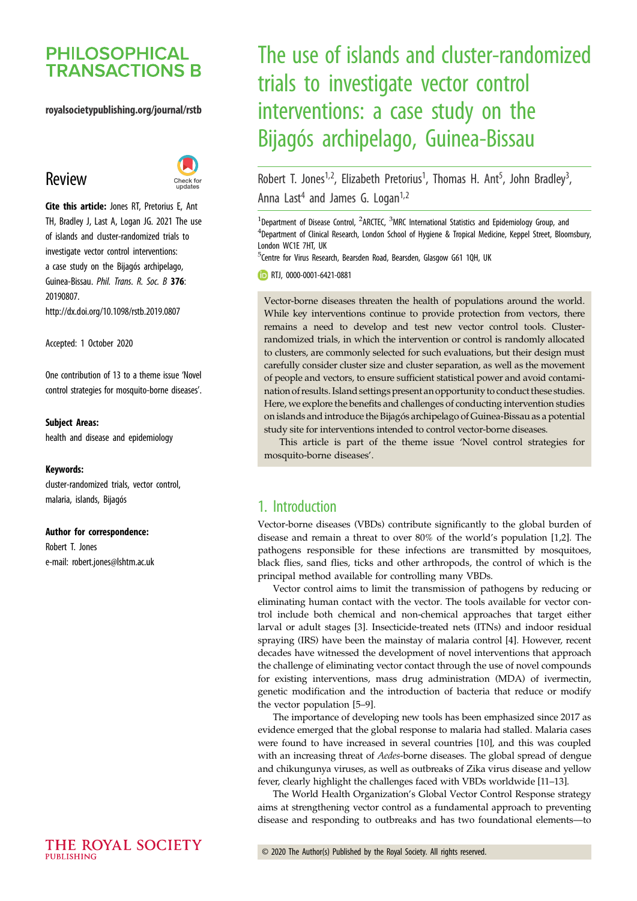## **PHILOSOPHICAL TRANSACTIONS B**

#### royalsocietypublishing.org/journal/rstb

## Review



Cite this article: Jones RT, Pretorius E, Ant TH, Bradley J, Last A, Logan JG. 2021 The use of islands and cluster-randomized trials to investigate vector control interventions: a case study on the Bijagós archipelago, Guinea-Bissau. Phil. Trans. R. Soc. B 376: 20190807. http://dx.doi.org/10.1098/rstb.2019.0807

Accepted: 1 October 2020

One contribution of 13 to a theme issue '[Novel](http://dx.doi.org/10.1098/rstb/376/1818) [control strategies for mosquito-borne diseases](http://dx.doi.org/10.1098/rstb/376/1818)'.

#### Subject Areas:

health and disease and epidemiology

#### Keywords:

cluster-randomized trials, vector control, malaria, islands, Bijagós

#### Author for correspondence:

Robert T. Jones e-mail: [robert.jones@lshtm.ac.uk](mailto:robert.jones@lshtm.ac.uk)

## The use of islands and cluster-randomized trials to investigate vector control interventions: a case study on the Bijagós archipelago, Guinea-Bissau

Robert T. Jones<sup>1,2</sup>, Elizabeth Pretorius<sup>1</sup>, Thomas H. Ant<sup>5</sup>, John Bradley<sup>3</sup> , Anna Last<sup>4</sup> and James G. Logan<sup>1,2</sup>

<sup>1</sup>Department of Disease Control, <sup>2</sup>ARCTEC, <sup>3</sup>MRC International Statistics and Epidemiology Group, and <sup>4</sup>Department of Clinical Research, London School of Hygiene & Tropical Medicine, Keppel Street, Bloomsbury, London WC1E 7HT, UK

<sup>5</sup>Centre for Virus Research, Bearsden Road, Bearsden, Glasgow G61 1QH, UK

**D** RTJ, [0000-0001-6421-0881](http://orcid.org/0000-0001-6421-0881)

Vector-borne diseases threaten the health of populations around the world. While key interventions continue to provide protection from vectors, there remains a need to develop and test new vector control tools. Clusterrandomized trials, in which the intervention or control is randomly allocated to clusters, are commonly selected for such evaluations, but their design must carefully consider cluster size and cluster separation, as well as the movement of people and vectors, to ensure sufficient statistical power and avoid contamination of results. Island settings present an opportunity to conduct these studies. Here, we explore the benefits and challenges of conducting intervention studies on islands and introduce the Bijagós archipelago of Guinea-Bissau as a potential study site for interventions intended to control vector-borne diseases.

This article is part of the theme issue 'Novel control strategies for mosquito-borne diseases'.

## 1. Introduction

Vector-borne diseases (VBDs) contribute significantly to the global burden of disease and remain a threat to over 80% of the world's population [\[1,2](#page-6-0)]. The pathogens responsible for these infections are transmitted by mosquitoes, black flies, sand flies, ticks and other arthropods, the control of which is the principal method available for controlling many VBDs.

Vector control aims to limit the transmission of pathogens by reducing or eliminating human contact with the vector. The tools available for vector control include both chemical and non-chemical approaches that target either larval or adult stages [\[3\]](#page-6-0). Insecticide-treated nets (ITNs) and indoor residual spraying (IRS) have been the mainstay of malaria control [\[4\]](#page-6-0). However, recent decades have witnessed the development of novel interventions that approach the challenge of eliminating vector contact through the use of novel compounds for existing interventions, mass drug administration (MDA) of ivermectin, genetic modification and the introduction of bacteria that reduce or modify the vector population [[5](#page-6-0)–[9](#page-6-0)].

The importance of developing new tools has been emphasized since 2017 as evidence emerged that the global response to malaria had stalled. Malaria cases were found to have increased in several countries [\[10](#page-6-0)], and this was coupled with an increasing threat of Aedes-borne diseases. The global spread of dengue and chikungunya viruses, as well as outbreaks of Zika virus disease and yellow fever, clearly highlight the challenges faced with VBDs worldwide [\[11](#page-6-0)–[13](#page-6-0)].

The World Health Organization's Global Vector Control Response strategy aims at strengthening vector control as a fundamental approach to preventing disease and responding to outbreaks and has two foundational elements—to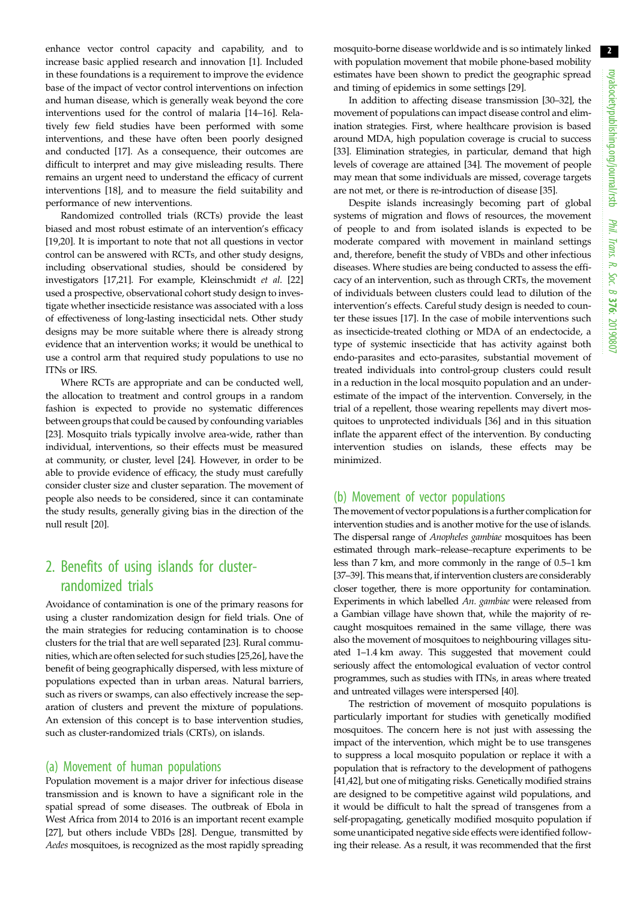enhance vector control capacity and capability, and to increase basic applied research and innovation [[1](#page-6-0)]. Included in these foundations is a requirement to improve the evidence base of the impact of vector control interventions on infection and human disease, which is generally weak beyond the core interventions used for the control of malaria [[14](#page-6-0)–[16](#page-6-0)]. Relatively few field studies have been performed with some interventions, and these have often been poorly designed and conducted [[17\]](#page-6-0). As a consequence, their outcomes are difficult to interpret and may give misleading results. There remains an urgent need to understand the efficacy of current interventions [\[18](#page-6-0)], and to measure the field suitability and performance of new interventions.

Randomized controlled trials (RCTs) provide the least biased and most robust estimate of an intervention's efficacy [\[19,20](#page-6-0)]. It is important to note that not all questions in vector control can be answered with RCTs, and other study designs, including observational studies, should be considered by investigators [[17,21\]](#page-6-0). For example, Kleinschmidt et al. [[22\]](#page-7-0) used a prospective, observational cohort study design to investigate whether insecticide resistance was associated with a loss of effectiveness of long-lasting insecticidal nets. Other study designs may be more suitable where there is already strong evidence that an intervention works; it would be unethical to use a control arm that required study populations to use no ITNs or IRS.

Where RCTs are appropriate and can be conducted well, the allocation to treatment and control groups in a random fashion is expected to provide no systematic differences between groups that could be caused by confounding variables [\[23](#page-7-0)]. Mosquito trials typically involve area-wide, rather than individual, interventions, so their effects must be measured at community, or cluster, level [\[24](#page-7-0)]. However, in order to be able to provide evidence of efficacy, the study must carefully consider cluster size and cluster separation. The movement of people also needs to be considered, since it can contaminate the study results, generally giving bias in the direction of the null result [\[20\]](#page-6-0).

## 2. Benefits of using islands for clusterrandomized trials

Avoidance of contamination is one of the primary reasons for using a cluster randomization design for field trials. One of the main strategies for reducing contamination is to choose clusters for the trial that are well separated [\[23](#page-7-0)]. Rural communities, which are often selected for such studies [[25](#page-7-0),[26\]](#page-7-0), have the benefit of being geographically dispersed, with less mixture of populations expected than in urban areas. Natural barriers, such as rivers or swamps, can also effectively increase the separation of clusters and prevent the mixture of populations. An extension of this concept is to base intervention studies, such as cluster-randomized trials (CRTs), on islands.

#### (a) Movement of human populations

Population movement is a major driver for infectious disease transmission and is known to have a significant role in the spatial spread of some diseases. The outbreak of Ebola in West Africa from 2014 to 2016 is an important recent example [\[27](#page-7-0)], but others include VBDs [\[28](#page-7-0)]. Dengue, transmitted by Aedes mosquitoes, is recognized as the most rapidly spreading

mosquito-borne disease worldwide and is so intimately linked with population movement that mobile phone-based mobility estimates have been shown to predict the geographic spread and timing of epidemics in some settings [[29\]](#page-7-0).

In addition to affecting disease transmission [[30](#page-7-0)–[32](#page-7-0)], the movement of populations can impact disease control and elimination strategies. First, where healthcare provision is based around MDA, high population coverage is crucial to success [[33\]](#page-7-0). Elimination strategies, in particular, demand that high levels of coverage are attained [[34\]](#page-7-0). The movement of people may mean that some individuals are missed, coverage targets are not met, or there is re-introduction of disease [\[35](#page-7-0)].

Despite islands increasingly becoming part of global systems of migration and flows of resources, the movement of people to and from isolated islands is expected to be moderate compared with movement in mainland settings and, therefore, benefit the study of VBDs and other infectious diseases. Where studies are being conducted to assess the efficacy of an intervention, such as through CRTs, the movement of individuals between clusters could lead to dilution of the intervention's effects. Careful study design is needed to counter these issues [\[17](#page-6-0)]. In the case of mobile interventions such as insecticide-treated clothing or MDA of an endectocide, a type of systemic insecticide that has activity against both endo-parasites and ecto-parasites, substantial movement of treated individuals into control-group clusters could result in a reduction in the local mosquito population and an underestimate of the impact of the intervention. Conversely, in the trial of a repellent, those wearing repellents may divert mosquitoes to unprotected individuals [\[36](#page-7-0)] and in this situation inflate the apparent effect of the intervention. By conducting intervention studies on islands, these effects may be minimized.

#### (b) Movement of vector populations

The movement of vector populations is a further complication for intervention studies and is another motive for the use of islands. The dispersal range of Anopheles gambiae mosquitoes has been estimated through mark–release–recapture experiments to be less than 7 km, and more commonly in the range of 0.5–1 km [[37](#page-7-0)–[39](#page-7-0)]. This means that, if intervention clusters are considerably closer together, there is more opportunity for contamination. Experiments in which labelled An. gambiae were released from a Gambian village have shown that, while the majority of recaught mosquitoes remained in the same village, there was also the movement of mosquitoes to neighbouring villages situated 1–1.4 km away. This suggested that movement could seriously affect the entomological evaluation of vector control programmes, such as studies with ITNs, in areas where treated and untreated villages were interspersed [\[40](#page-7-0)].

The restriction of movement of mosquito populations is particularly important for studies with genetically modified mosquitoes. The concern here is not just with assessing the impact of the intervention, which might be to use transgenes to suppress a local mosquito population or replace it with a population that is refractory to the development of pathogens [[41](#page-7-0),[42](#page-7-0)], but one of mitigating risks. Genetically modified strains are designed to be competitive against wild populations, and it would be difficult to halt the spread of transgenes from a self-propagating, genetically modified mosquito population if some unanticipated negative side effects were identified following their release. As a result, it was recommended that the first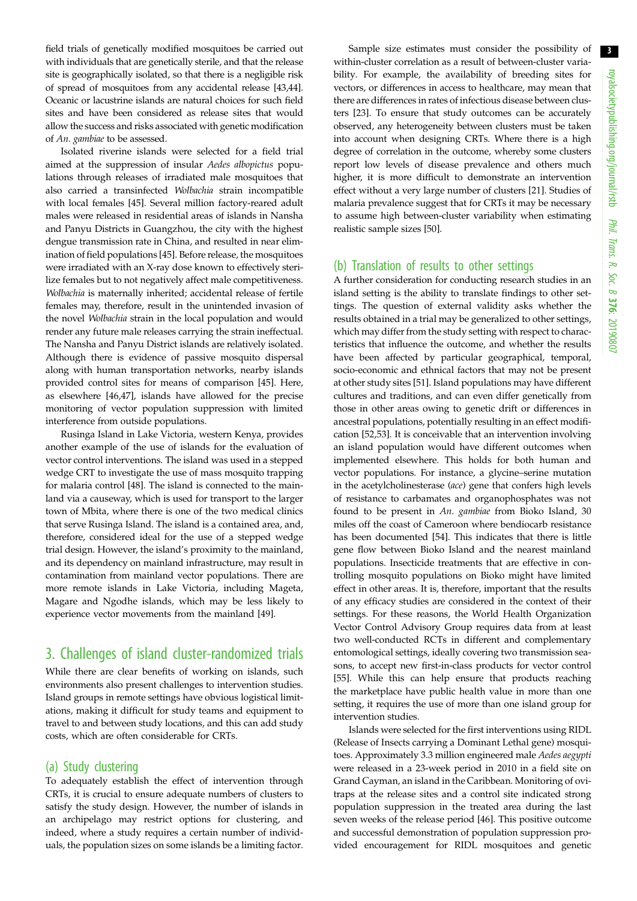field trials of genetically modified mosquitoes be carried out with individuals that are genetically sterile, and that the release site is geographically isolated, so that there is a negligible risk of spread of mosquitoes from any accidental release [[43](#page-7-0),[44](#page-7-0)]. Oceanic or lacustrine islands are natural choices for such field sites and have been considered as release sites that would allow the success and risks associated with genetic modification of An. gambiae to be assessed.

Isolated riverine islands were selected for a field trial aimed at the suppression of insular Aedes albopictus populations through releases of irradiated male mosquitoes that also carried a transinfected Wolbachia strain incompatible with local females [[45\]](#page-7-0). Several million factory-reared adult males were released in residential areas of islands in Nansha and Panyu Districts in Guangzhou, the city with the highest dengue transmission rate in China, and resulted in near elimination of field populations [[45\]](#page-7-0). Before release, the mosquitoes were irradiated with an X-ray dose known to effectively sterilize females but to not negatively affect male competitiveness. Wolbachia is maternally inherited; accidental release of fertile females may, therefore, result in the unintended invasion of the novel Wolbachia strain in the local population and would render any future male releases carrying the strain ineffectual. The Nansha and Panyu District islands are relatively isolated. Although there is evidence of passive mosquito dispersal along with human transportation networks, nearby islands provided control sites for means of comparison [\[45](#page-7-0)]. Here, as elsewhere [[46,47](#page-7-0)], islands have allowed for the precise monitoring of vector population suppression with limited interference from outside populations.

Rusinga Island in Lake Victoria, western Kenya, provides another example of the use of islands for the evaluation of vector control interventions. The island was used in a stepped wedge CRT to investigate the use of mass mosquito trapping for malaria control [\[48](#page-7-0)]. The island is connected to the mainland via a causeway, which is used for transport to the larger town of Mbita, where there is one of the two medical clinics that serve Rusinga Island. The island is a contained area, and, therefore, considered ideal for the use of a stepped wedge trial design. However, the island's proximity to the mainland, and its dependency on mainland infrastructure, may result in contamination from mainland vector populations. There are more remote islands in Lake Victoria, including Mageta, Magare and Ngodhe islands, which may be less likely to experience vector movements from the mainland [[49\]](#page-7-0).

## 3. Challenges of island cluster-randomized trials

While there are clear benefits of working on islands, such environments also present challenges to intervention studies. Island groups in remote settings have obvious logistical limitations, making it difficult for study teams and equipment to travel to and between study locations, and this can add study costs, which are often considerable for CRTs.

#### (a) Study clustering

To adequately establish the effect of intervention through CRTs, it is crucial to ensure adequate numbers of clusters to satisfy the study design. However, the number of islands in an archipelago may restrict options for clustering, and indeed, where a study requires a certain number of individuals, the population sizes on some islands be a limiting factor.

Sample size estimates must consider the possibility of within-cluster correlation as a result of between-cluster variability. For example, the availability of breeding sites for vectors, or differences in access to healthcare, may mean that there are differences in rates of infectious disease between clusters [\[23](#page-7-0)]. To ensure that study outcomes can be accurately observed, any heterogeneity between clusters must be taken into account when designing CRTs. Where there is a high degree of correlation in the outcome, whereby some clusters report low levels of disease prevalence and others much higher, it is more difficult to demonstrate an intervention effect without a very large number of clusters [[21\]](#page-6-0). Studies of malaria prevalence suggest that for CRTs it may be necessary to assume high between-cluster variability when estimating realistic sample sizes [\[50](#page-7-0)].

#### (b) Translation of results to other settings

A further consideration for conducting research studies in an island setting is the ability to translate findings to other settings. The question of external validity asks whether the results obtained in a trial may be generalized to other settings, which may differ from the study setting with respect to characteristics that influence the outcome, and whether the results have been affected by particular geographical, temporal, socio-economic and ethnical factors that may not be present at other study sites [\[51](#page-7-0)]. Island populations may have different cultures and traditions, and can even differ genetically from those in other areas owing to genetic drift or differences in ancestral populations, potentially resulting in an effect modification [[52,53](#page-7-0)]. It is conceivable that an intervention involving an island population would have different outcomes when implemented elsewhere. This holds for both human and vector populations. For instance, a glycine–serine mutation in the acetylcholinesterase (ace) gene that confers high levels of resistance to carbamates and organophosphates was not found to be present in An. gambiae from Bioko Island, 30 miles off the coast of Cameroon where bendiocarb resistance has been documented [[54\]](#page-7-0). This indicates that there is little gene flow between Bioko Island and the nearest mainland populations. Insecticide treatments that are effective in controlling mosquito populations on Bioko might have limited effect in other areas. It is, therefore, important that the results of any efficacy studies are considered in the context of their settings. For these reasons, the World Health Organization Vector Control Advisory Group requires data from at least two well-conducted RCTs in different and complementary entomological settings, ideally covering two transmission seasons, to accept new first-in-class products for vector control [[55\]](#page-7-0). While this can help ensure that products reaching the marketplace have public health value in more than one setting, it requires the use of more than one island group for intervention studies.

Islands were selected for the first interventions using RIDL (Release of Insects carrying a Dominant Lethal gene) mosquitoes. Approximately 3.3 million engineered male Aedes aegypti were released in a 23-week period in 2010 in a field site on Grand Cayman, an island in the Caribbean. Monitoring of ovitraps at the release sites and a control site indicated strong population suppression in the treated area during the last seven weeks of the release period [\[46](#page-7-0)]. This positive outcome and successful demonstration of population suppression provided encouragement for RIDL mosquitoes and genetic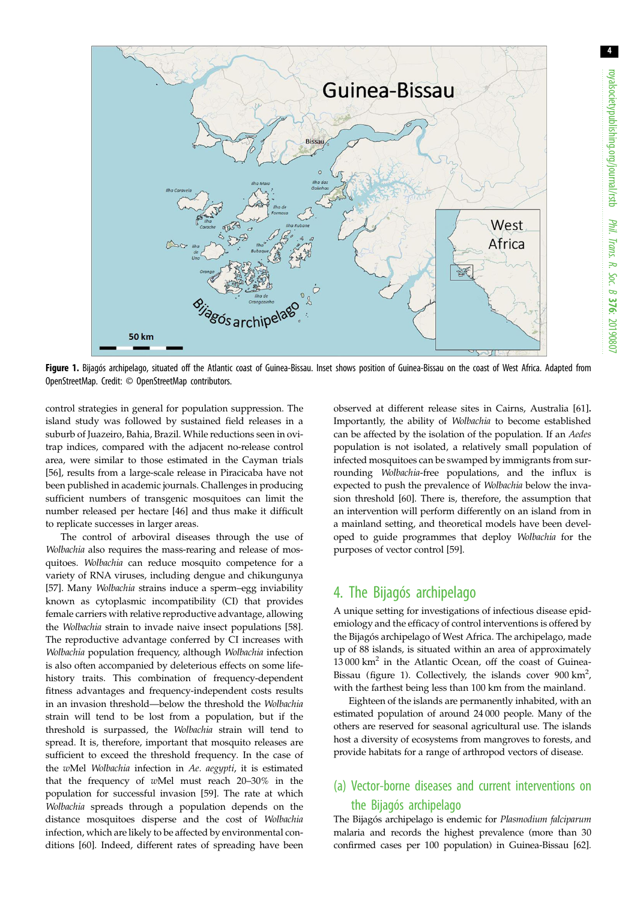

Figure 1. Bijagós archipelago, situated off the Atlantic coast of Guinea-Bissau. Inset shows position of Guinea-Bissau on the coast of West Africa. Adapted from OpenStreetMap. Credit: © OpenStreetMap contributors.

control strategies in general for population suppression. The island study was followed by sustained field releases in a suburb of Juazeiro, Bahia, Brazil. While reductions seen in ovitrap indices, compared with the adjacent no-release control area, were similar to those estimated in the Cayman trials [\[56](#page-7-0)], results from a large-scale release in Piracicaba have not been published in academic journals. Challenges in producing sufficient numbers of transgenic mosquitoes can limit the number released per hectare [[46\]](#page-7-0) and thus make it difficult to replicate successes in larger areas.

The control of arboviral diseases through the use of Wolbachia also requires the mass-rearing and release of mosquitoes. Wolbachia can reduce mosquito competence for a variety of RNA viruses, including dengue and chikungunya [\[57](#page-7-0)]. Many Wolbachia strains induce a sperm–egg inviability known as cytoplasmic incompatibility (CI) that provides female carriers with relative reproductive advantage, allowing the Wolbachia strain to invade naive insect populations [\[58](#page-7-0)]. The reproductive advantage conferred by CI increases with Wolbachia population frequency, although Wolbachia infection is also often accompanied by deleterious effects on some lifehistory traits. This combination of frequency-dependent fitness advantages and frequency-independent costs results in an invasion threshold—below the threshold the Wolbachia strain will tend to be lost from a population, but if the threshold is surpassed, the Wolbachia strain will tend to spread. It is, therefore, important that mosquito releases are sufficient to exceed the threshold frequency. In the case of the wMel Wolbachia infection in Ae. aegypti, it is estimated that the frequency of  $w$ Mel must reach 20–30% in the population for successful invasion [[59\]](#page-7-0). The rate at which Wolbachia spreads through a population depends on the distance mosquitoes disperse and the cost of Wolbachia infection, which are likely to be affected by environmental conditions [\[60](#page-7-0)]. Indeed, different rates of spreading have been observed at different release sites in Cairns, Australia [[61\]](#page-7-0). Importantly, the ability of Wolbachia to become established can be affected by the isolation of the population. If an Aedes population is not isolated, a relatively small population of infected mosquitoes can be swamped by immigrants from surrounding Wolbachia-free populations, and the influx is expected to push the prevalence of Wolbachia below the invasion threshold [\[60](#page-7-0)]. There is, therefore, the assumption that an intervention will perform differently on an island from in a mainland setting, and theoretical models have been developed to guide programmes that deploy Wolbachia for the purposes of vector control [\[59](#page-7-0)].

## 4. The Bijagós archipelago

A unique setting for investigations of infectious disease epidemiology and the efficacy of control interventions is offered by the Bijagós archipelago of West Africa. The archipelago, made up of 88 islands, is situated within an area of approximately 13 000 km2 in the Atlantic Ocean, off the coast of Guinea-Bissau (figure 1). Collectively, the islands cover  $900 \text{ km}^2$ , with the farthest being less than 100 km from the mainland.

Eighteen of the islands are permanently inhabited, with an estimated population of around 24 000 people. Many of the others are reserved for seasonal agricultural use. The islands host a diversity of ecosystems from mangroves to forests, and provide habitats for a range of arthropod vectors of disease.

## (a) Vector-borne diseases and current interventions on the Bijagós archipelago

The Bijagós archipelago is endemic for Plasmodium falciparum malaria and records the highest prevalence (more than 30 confirmed cases per 100 population) in Guinea-Bissau [[62\]](#page-8-0).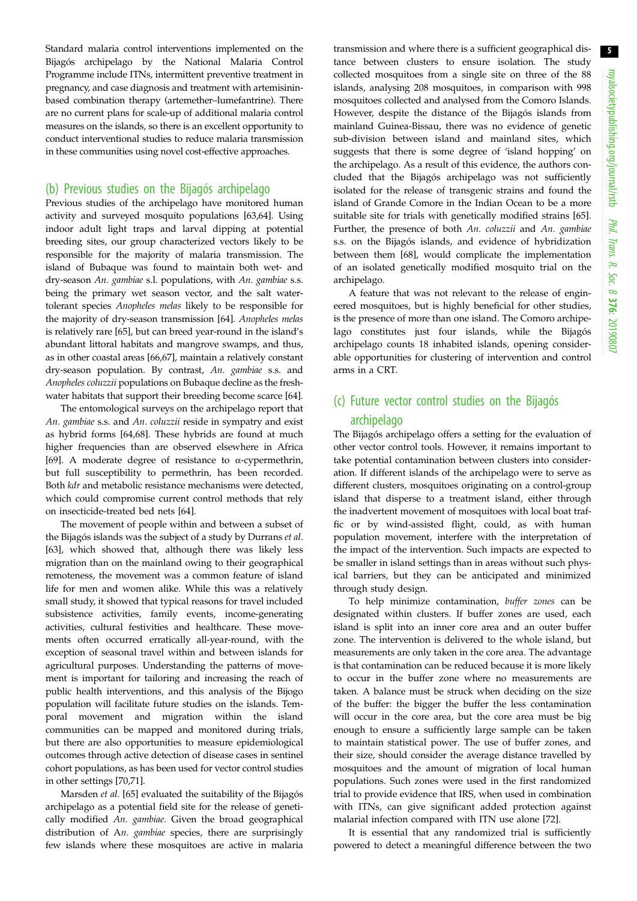5

Standard malaria control interventions implemented on the Bijagós archipelago by the National Malaria Control Programme include ITNs, intermittent preventive treatment in pregnancy, and case diagnosis and treatment with artemisininbased combination therapy (artemether–lumefantrine). There are no current plans for scale-up of additional malaria control measures on the islands, so there is an excellent opportunity to conduct interventional studies to reduce malaria transmission in these communities using novel cost-effective approaches.

#### (b) Previous studies on the Bijagós archipelago

Previous studies of the archipelago have monitored human activity and surveyed mosquito populations [[63,64\]](#page-8-0). Using indoor adult light traps and larval dipping at potential breeding sites, our group characterized vectors likely to be responsible for the majority of malaria transmission. The island of Bubaque was found to maintain both wet- and dry-season An. gambiae s.l. populations, with An. gambiae s.s. being the primary wet season vector, and the salt watertolerant species Anopheles melas likely to be responsible for the majority of dry-season transmission [\[64](#page-8-0)]. Anopheles melas is relatively rare [\[65](#page-8-0)], but can breed year-round in the island's abundant littoral habitats and mangrove swamps, and thus, as in other coastal areas [\[66](#page-8-0),[67](#page-8-0)], maintain a relatively constant dry-season population. By contrast, An. gambiae s.s. and Anopheles coluzzii populations on Bubaque decline as the freshwater habitats that support their breeding become scarce [\[64](#page-8-0)].

The entomological surveys on the archipelago report that An. gambiae s.s. and An. coluzzii reside in sympatry and exist as hybrid forms [\[64](#page-8-0),[68\]](#page-8-0). These hybrids are found at much higher frequencies than are observed elsewhere in Africa [\[69](#page-8-0)]. A moderate degree of resistance to α-cypermethrin, but full susceptibility to permethrin, has been recorded. Both kdr and metabolic resistance mechanisms were detected, which could compromise current control methods that rely on insecticide-treated bed nets [\[64](#page-8-0)].

The movement of people within and between a subset of the Bijagós islands was the subject of a study by Durrans et al. [\[63](#page-8-0)], which showed that, although there was likely less migration than on the mainland owing to their geographical remoteness, the movement was a common feature of island life for men and women alike. While this was a relatively small study, it showed that typical reasons for travel included subsistence activities, family events, income-generating activities, cultural festivities and healthcare. These movements often occurred erratically all-year-round, with the exception of seasonal travel within and between islands for agricultural purposes. Understanding the patterns of movement is important for tailoring and increasing the reach of public health interventions, and this analysis of the Bijogo population will facilitate future studies on the islands. Temporal movement and migration within the island communities can be mapped and monitored during trials, but there are also opportunities to measure epidemiological outcomes through active detection of disease cases in sentinel cohort populations, as has been used for vector control studies in other settings [[70,71\]](#page-8-0).

Marsden et al. [\[65](#page-8-0)] evaluated the suitability of the Bijagós archipelago as a potential field site for the release of genetically modified An. gambiae. Given the broad geographical distribution of An. gambiae species, there are surprisingly few islands where these mosquitoes are active in malaria

transmission and where there is a sufficient geographical distance between clusters to ensure isolation. The study collected mosquitoes from a single site on three of the 88 islands, analysing 208 mosquitoes, in comparison with 998 mosquitoes collected and analysed from the Comoro Islands. However, despite the distance of the Bijagós islands from mainland Guinea-Bissau, there was no evidence of genetic sub-division between island and mainland sites, which suggests that there is some degree of 'island hopping' on the archipelago. As a result of this evidence, the authors concluded that the Bijagós archipelago was not sufficiently isolated for the release of transgenic strains and found the island of Grande Comore in the Indian Ocean to be a more suitable site for trials with genetically modified strains [[65\]](#page-8-0). Further, the presence of both An. coluzzii and An. gambiae s.s. on the Bijagós islands, and evidence of hybridization between them [\[68](#page-8-0)], would complicate the implementation of an isolated genetically modified mosquito trial on the archipelago.

A feature that was not relevant to the release of engineered mosquitoes, but is highly beneficial for other studies, is the presence of more than one island. The Comoro archipelago constitutes just four islands, while the Bijagós archipelago counts 18 inhabited islands, opening considerable opportunities for clustering of intervention and control arms in a CRT.

## (c) Future vector control studies on the Bijagós archipelago

The Bijagós archipelago offers a setting for the evaluation of other vector control tools. However, it remains important to take potential contamination between clusters into consideration. If different islands of the archipelago were to serve as different clusters, mosquitoes originating on a control-group island that disperse to a treatment island, either through the inadvertent movement of mosquitoes with local boat traffic or by wind-assisted flight, could, as with human population movement, interfere with the interpretation of the impact of the intervention. Such impacts are expected to be smaller in island settings than in areas without such physical barriers, but they can be anticipated and minimized through study design.

To help minimize contamination, buffer zones can be designated within clusters. If buffer zones are used, each island is split into an inner core area and an outer buffer zone. The intervention is delivered to the whole island, but measurements are only taken in the core area. The advantage is that contamination can be reduced because it is more likely to occur in the buffer zone where no measurements are taken. A balance must be struck when deciding on the size of the buffer: the bigger the buffer the less contamination will occur in the core area, but the core area must be big enough to ensure a sufficiently large sample can be taken to maintain statistical power. The use of buffer zones, and their size, should consider the average distance travelled by mosquitoes and the amount of migration of local human populations. Such zones were used in the first randomized trial to provide evidence that IRS, when used in combination with ITNs, can give significant added protection against malarial infection compared with ITN use alone [\[72](#page-8-0)].

It is essential that any randomized trial is sufficiently powered to detect a meaningful difference between the two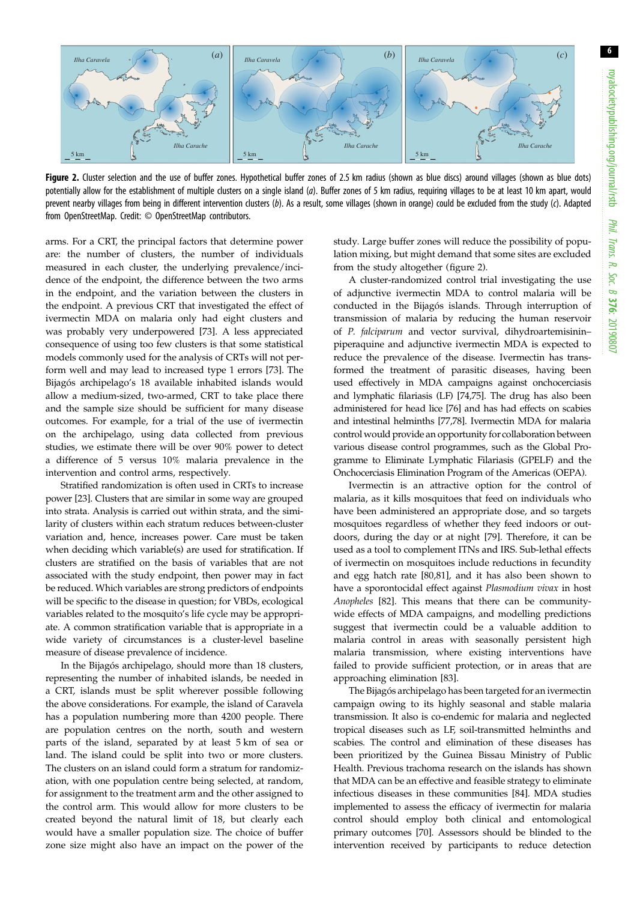

Figure 2. Cluster selection and the use of buffer zones. Hypothetical buffer zones of 2.5 km radius (shown as blue discs) around villages (shown as blue dots) potentially allow for the establishment of multiple clusters on a single island (a). Buffer zones of 5 km radius, requiring villages to be at least 10 km apart, would prevent nearby villages from being in different intervention clusters (b). As a result, some villages (shown in orange) could be excluded from the study (c). Adapted from OpenStreetMap. Credit: © OpenStreetMap contributors.

arms. For a CRT, the principal factors that determine power are: the number of clusters, the number of individuals measured in each cluster, the underlying prevalence/incidence of the endpoint, the difference between the two arms in the endpoint, and the variation between the clusters in the endpoint. A previous CRT that investigated the effect of ivermectin MDA on malaria only had eight clusters and was probably very underpowered [\[73](#page-8-0)]. A less appreciated consequence of using too few clusters is that some statistical models commonly used for the analysis of CRTs will not perform well and may lead to increased type 1 errors [\[73](#page-8-0)]. The Bijagós archipelago's 18 available inhabited islands would allow a medium-sized, two-armed, CRT to take place there and the sample size should be sufficient for many disease outcomes. For example, for a trial of the use of ivermectin on the archipelago, using data collected from previous studies, we estimate there will be over 90% power to detect a difference of 5 versus 10% malaria prevalence in the intervention and control arms, respectively.

Stratified randomization is often used in CRTs to increase power [[23\]](#page-7-0). Clusters that are similar in some way are grouped into strata. Analysis is carried out within strata, and the similarity of clusters within each stratum reduces between-cluster variation and, hence, increases power. Care must be taken when deciding which variable(s) are used for stratification. If clusters are stratified on the basis of variables that are not associated with the study endpoint, then power may in fact be reduced. Which variables are strong predictors of endpoints will be specific to the disease in question; for VBDs, ecological variables related to the mosquito's life cycle may be appropriate. A common stratification variable that is appropriate in a wide variety of circumstances is a cluster-level baseline measure of disease prevalence of incidence.

In the Bijagós archipelago, should more than 18 clusters, representing the number of inhabited islands, be needed in a CRT, islands must be split wherever possible following the above considerations. For example, the island of Caravela has a population numbering more than 4200 people. There are population centres on the north, south and western parts of the island, separated by at least 5 km of sea or land. The island could be split into two or more clusters. The clusters on an island could form a stratum for randomization, with one population centre being selected, at random, for assignment to the treatment arm and the other assigned to the control arm. This would allow for more clusters to be created beyond the natural limit of 18, but clearly each would have a smaller population size. The choice of buffer zone size might also have an impact on the power of the study. Large buffer zones will reduce the possibility of population mixing, but might demand that some sites are excluded from the study altogether (figure 2).

A cluster-randomized control trial investigating the use of adjunctive ivermectin MDA to control malaria will be conducted in the Bijagós islands. Through interruption of transmission of malaria by reducing the human reservoir of P. falciparum and vector survival, dihydroartemisinin– piperaquine and adjunctive ivermectin MDA is expected to reduce the prevalence of the disease. Ivermectin has transformed the treatment of parasitic diseases, having been used effectively in MDA campaigns against onchocerciasis and lymphatic filariasis (LF) [\[74,75\]](#page-8-0). The drug has also been administered for head lice [[76](#page-8-0)] and has had effects on scabies and intestinal helminths [\[77,78\]](#page-8-0). Ivermectin MDA for malaria control would provide an opportunity for collaboration between various disease control programmes, such as the Global Programme to Eliminate Lymphatic Filariasis (GPELF) and the Onchocerciasis Elimination Program of the Americas (OEPA).

Ivermectin is an attractive option for the control of malaria, as it kills mosquitoes that feed on individuals who have been administered an appropriate dose, and so targets mosquitoes regardless of whether they feed indoors or outdoors, during the day or at night [[79\]](#page-8-0). Therefore, it can be used as a tool to complement ITNs and IRS. Sub-lethal effects of ivermectin on mosquitoes include reductions in fecundity and egg hatch rate [[80,81\]](#page-8-0), and it has also been shown to have a sporontocidal effect against Plasmodium vivax in host Anopheles [[82\]](#page-8-0). This means that there can be communitywide effects of MDA campaigns, and modelling predictions suggest that ivermectin could be a valuable addition to malaria control in areas with seasonally persistent high malaria transmission, where existing interventions have failed to provide sufficient protection, or in areas that are approaching elimination [[83\]](#page-8-0).

The Bijagós archipelago has been targeted for an ivermectin campaign owing to its highly seasonal and stable malaria transmission. It also is co-endemic for malaria and neglected tropical diseases such as LF, soil-transmitted helminths and scabies. The control and elimination of these diseases has been prioritized by the Guinea Bissau Ministry of Public Health. Previous trachoma research on the islands has shown that MDA can be an effective and feasible strategy to eliminate infectious diseases in these communities [\[84](#page-8-0)]. MDA studies implemented to assess the efficacy of ivermectin for malaria control should employ both clinical and entomological primary outcomes [[70](#page-8-0)]. Assessors should be blinded to the intervention received by participants to reduce detection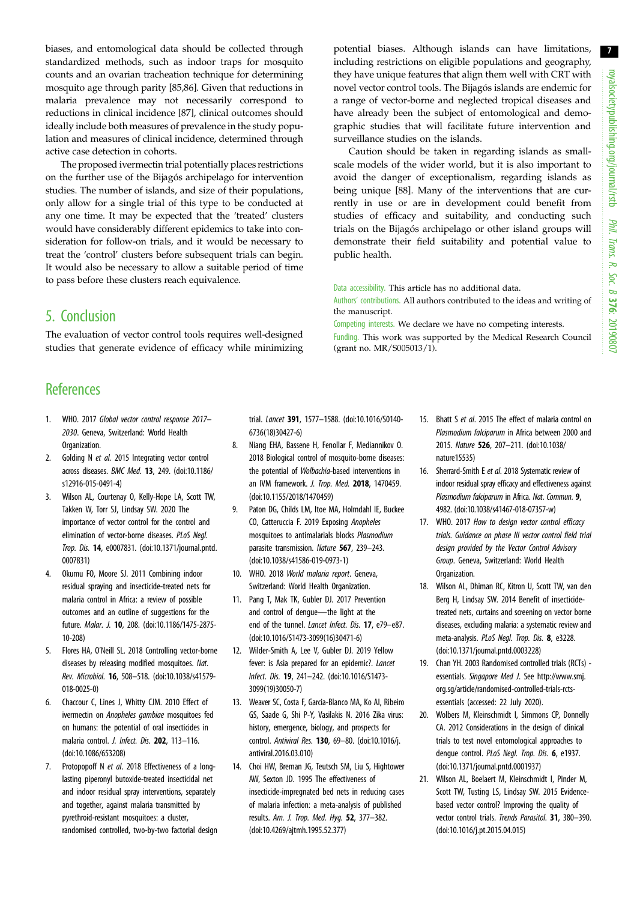7

<span id="page-6-0"></span>biases, and entomological data should be collected through standardized methods, such as indoor traps for mosquito counts and an ovarian tracheation technique for determining mosquito age through parity [[85,86](#page-8-0)]. Given that reductions in malaria prevalence may not necessarily correspond to reductions in clinical incidence [\[87](#page-8-0)], clinical outcomes should ideally include both measures of prevalence in the study population and measures of clinical incidence, determined through active case detection in cohorts.

The proposed ivermectin trial potentially places restrictions on the further use of the Bijagós archipelago for intervention studies. The number of islands, and size of their populations, only allow for a single trial of this type to be conducted at any one time. It may be expected that the 'treated' clusters would have considerably different epidemics to take into consideration for follow-on trials, and it would be necessary to treat the 'control' clusters before subsequent trials can begin. It would also be necessary to allow a suitable period of time to pass before these clusters reach equivalence.

potential biases. Although islands can have limitations, including restrictions on eligible populations and geography, they have unique features that align them well with CRT with novel vector control tools. The Bijagós islands are endemic for a range of vector-borne and neglected tropical diseases and have already been the subject of entomological and demographic studies that will facilitate future intervention and surveillance studies on the islands.

Caution should be taken in regarding islands as smallscale models of the wider world, but it is also important to avoid the danger of exceptionalism, regarding islands as being unique [\[88](#page-8-0)]. Many of the interventions that are currently in use or are in development could benefit from studies of efficacy and suitability, and conducting such trials on the Bijagós archipelago or other island groups will demonstrate their field suitability and potential value to public health.

Data accessibility. This article has no additional data.

Authors' contributions. All authors contributed to the ideas and writing of the manuscript.

Competing interests. We declare we have no competing interests.

Funding. This work was supported by the Medical Research Council (grant no. MR/S005013/1).

# 5. Conclusion

The evaluation of vector control tools requires well-designed studies that generate evidence of efficacy while minimizing

## **References**

- 1. WHO. 2017 Global vector control response 2017– 2030. Geneva, Switzerland: World Health Organization
- 2. Golding N et al. 2015 Integrating vector control across diseases. BMC Med. 13, 249. ([doi:10.1186/](http://dx.doi.org/10.1186/s12916-015-0491-4) [s12916-015-0491-4\)](http://dx.doi.org/10.1186/s12916-015-0491-4)
- 3. Wilson AL, Courtenay O, Kelly-Hope LA, Scott TW, Takken W, Torr SJ, Lindsay SW. 2020 The importance of vector control for the control and elimination of vector-borne diseases. PLoS Negl. Trop. Dis. 14, e0007831. ([doi:10.1371/journal.pntd.](http://dx.doi.org/10.1371/journal.pntd.0007831) [0007831\)](http://dx.doi.org/10.1371/journal.pntd.0007831)
- 4. Okumu FO, Moore SJ. 2011 Combining indoor residual spraying and insecticide-treated nets for malaria control in Africa: a review of possible outcomes and an outline of suggestions for the future. Malar. J. 10, 208. ([doi:10.1186/1475-2875-](http://dx.doi.org/10.1186/1475-2875-10-208) [10-208](http://dx.doi.org/10.1186/1475-2875-10-208))
- 5. Flores HA, O'Neill SL. 2018 Controlling vector-borne diseases by releasing modified mosquitoes. Nat. Rev. Microbiol. 16, 508–518. [\(doi:10.1038/s41579-](http://dx.doi.org/10.1038/s41579-018-0025-0) [018-0025-0\)](http://dx.doi.org/10.1038/s41579-018-0025-0)
- 6. Chaccour C, Lines J, Whitty CJM. 2010 Effect of ivermectin on Anopheles gambiae mosquitoes fed on humans: the potential of oral insecticides in malaria control. J. Infect. Dis. 202, 113–116. [\(doi:10.1086/653208](http://dx.doi.org/10.1086/653208))
- 7. Protopopoff N et al. 2018 Effectiveness of a longlasting piperonyl butoxide-treated insecticidal net and indoor residual spray interventions, separately and together, against malaria transmitted by pyrethroid-resistant mosquitoes: a cluster, randomised controlled, two-by-two factorial design

trial. Lancet 391, 1577–1588. [\(doi:10.1016/S0140-](http://dx.doi.org/10.1016/S0140-6736(18)30427-6) [6736\(18\)30427-6](http://dx.doi.org/10.1016/S0140-6736(18)30427-6))

- 8. Niang EHA, Bassene H, Fenollar F, Mediannikov O. 2018 Biological control of mosquito-borne diseases: the potential of Wolbachia-based interventions in an IVM framework. J. Trop. Med. 2018, 1470459. [\(doi:10.1155/2018/1470459](http://dx.doi.org/10.1155/2018/1470459))
- 9. Paton DG, Childs LM, Itoe MA, Holmdahl IE, Buckee CO, Catteruccia F. 2019 Exposing Anopheles mosquitoes to antimalarials blocks Plasmodium parasite transmission. Nature 567, 239–243. [\(doi:10.1038/s41586-019-0973-1](http://dx.doi.org/10.1038/s41586-019-0973-1))
- 10. WHO. 2018 World malaria report. Geneva, Switzerland: World Health Organization.
- 11. Pang T, Mak TK, Gubler DJ. 2017 Prevention and control of dengue—the light at the end of the tunnel. Lancet Infect. Dis. 17, e79–e87. [\(doi:10.1016/S1473-3099\(16\)30471-6](http://dx.doi.org/10.1016/S1473-3099(16)30471-6))
- 12. Wilder-Smith A, Lee V, Gubler DJ. 2019 Yellow fever: is Asia prepared for an epidemic?. Lancet Infect. Dis. 19, 241–242. ([doi:10.1016/S1473-](http://dx.doi.org/10.1016/S1473-3099(19)30050-7) [3099\(19\)30050-7](http://dx.doi.org/10.1016/S1473-3099(19)30050-7))
- 13. Weaver SC, Costa F, Garcia-Blanco MA, Ko AI, Ribeiro GS, Saade G, Shi P-Y, Vasilakis N. 2016 Zika virus: history, emergence, biology, and prospects for control. Antiviral Res. 130, 69–80. [\(doi:10.1016/j.](http://dx.doi.org/10.1016/j.antiviral.2016.03.010) [antiviral.2016.03.010](http://dx.doi.org/10.1016/j.antiviral.2016.03.010))
- 14. Choi HW, Breman JG, Teutsch SM, Liu S, Hightower AW, Sexton JD. 1995 The effectiveness of insecticide-impregnated bed nets in reducing cases of malaria infection: a meta-analysis of published results. Am. J. Trop. Med. Hyg. 52, 377–382. [\(doi:10.4269/ajtmh.1995.52.377](http://dx.doi.org/10.4269/ajtmh.1995.52.377))
- 15. Bhatt S et al. 2015 The effect of malaria control on Plasmodium falciparum in Africa between 2000 and 2015. Nature 526, 207–211. [\(doi:10.1038/](http://dx.doi.org/10.1038/nature15535) [nature15535](http://dx.doi.org/10.1038/nature15535))
- 16. Sherrard-Smith E et al. 2018 Systematic review of indoor residual spray efficacy and effectiveness against Plasmodium falciparum in Africa. Nat. Commun. 9, 4982. ([doi:10.1038/s41467-018-07357-w](http://dx.doi.org/10.1038/s41467-018-07357-w))
- 17. WHO. 2017 How to design vector control efficacy trials. Guidance on phase III vector control field trial design provided by the Vector Control Advisory Group. Geneva, Switzerland: World Health Organization.
- 18. Wilson AL, Dhiman RC, Kitron U, Scott TW, van den Berg H, Lindsay SW. 2014 Benefit of insecticidetreated nets, curtains and screening on vector borne diseases, excluding malaria: a systematic review and meta-analysis. PLoS Negl. Trop. Dis. 8, e3228. ([doi:10.1371/journal.pntd.0003228\)](http://dx.doi.org/10.1371/journal.pntd.0003228)
- 19. Chan YH. 2003 Randomised controlled trials (RCTs) essentials. Singapore Med J. See [http://www.smj.](http://www.smj.org.sg/article/randomised-controlled-trials-rcts-essentials) [org.sg/article/randomised-controlled-trials-rcts](http://www.smj.org.sg/article/randomised-controlled-trials-rcts-essentials)[essentials](http://www.smj.org.sg/article/randomised-controlled-trials-rcts-essentials) (accessed: 22 July 2020).
- 20. Wolbers M, Kleinschmidt I, Simmons CP, Donnelly CA. 2012 Considerations in the design of clinical trials to test novel entomological approaches to dengue control. PLoS Negl. Trop. Dis. 6, e1937. ([doi:10.1371/journal.pntd.0001937\)](http://dx.doi.org/10.1371/journal.pntd.0001937)
- 21. Wilson AL, Boelaert M, Kleinschmidt I, Pinder M, Scott TW, Tusting LS, Lindsay SW. 2015 Evidencebased vector control? Improving the quality of vector control trials. Trends Parasitol. 31, 380–390. ([doi:10.1016/j.pt.2015.04.015](http://dx.doi.org/10.1016/j.pt.2015.04.015))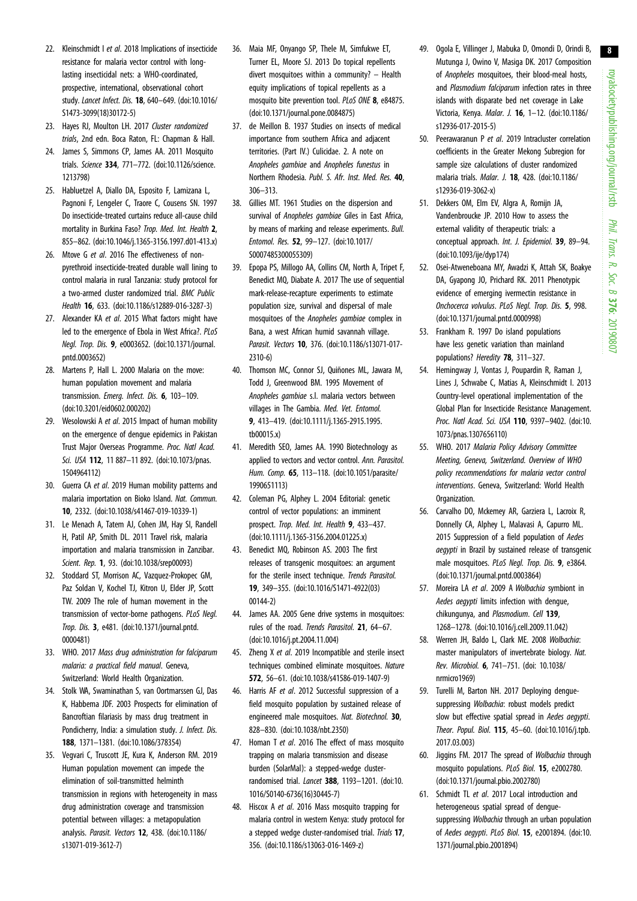- <span id="page-7-0"></span>22. Kleinschmidt I et al. 2018 Implications of insecticide resistance for malaria vector control with longlasting insecticidal nets: a WHO-coordinated, prospective, international, observational cohort study. Lancet Infect. Dis. 18, 640–649. ([doi:10.1016/](http://dx.doi.org/10.1016/S1473-3099(18)30172-5) [S1473-3099\(18\)30172-5\)](http://dx.doi.org/10.1016/S1473-3099(18)30172-5)
- 23. Hayes RJ, Moulton LH. 2017 Cluster randomized trials, 2nd edn. Boca Raton, FL: Chapman & Hall.
- 24. James S, Simmons CP, James AA. 2011 Mosquito trials. Science 334, 771–772. ([doi:10.1126/science.](http://dx.doi.org/10.1126/science.1213798) [1213798\)](http://dx.doi.org/10.1126/science.1213798)
- 25. Habluetzel A, Diallo DA, Esposito F, Lamizana L, Pagnoni F, Lengeler C, Traore C, Cousens SN. 1997 Do insecticide-treated curtains reduce all-cause child mortality in Burkina Faso? Trop. Med. Int. Health 2, 855–862. [\(doi:10.1046/j.1365-3156.1997.d01-413.x\)](http://dx.doi.org/10.1046/j.1365-3156.1997.d01-413.x)
- 26. Mtove G et al. 2016 The effectiveness of nonpyrethroid insecticide-treated durable wall lining to control malaria in rural Tanzania: study protocol for a two-armed cluster randomized trial. BMC Public Health 16, 633. ([doi:10.1186/s12889-016-3287-3](http://dx.doi.org/10.1186/s12889-016-3287-3))
- 27. Alexander KA et al. 2015 What factors might have led to the emergence of Ebola in West Africa?. PLoS Negl. Trop. Dis. 9, e0003652. ([doi:10.1371/journal.](http://dx.doi.org/10.1371/journal.pntd.0003652) [pntd.0003652](http://dx.doi.org/10.1371/journal.pntd.0003652))
- 28. Martens P, Hall L. 2000 Malaria on the move: human population movement and malaria transmission. *Emerg. Infect. Dis.* 6, 103-109. [\(doi:10.3201/eid0602.000202\)](http://dx.doi.org/10.3201/eid0602.000202)
- 29. Wesolowski A et al. 2015 Impact of human mobility on the emergence of dengue epidemics in Pakistan Trust Major Overseas Programme. Proc. Natl Acad. Sci. USA 112, 11 887–11 892. [\(doi:10.1073/pnas.](http://dx.doi.org/10.1073/pnas.1504964112) [1504964112\)](http://dx.doi.org/10.1073/pnas.1504964112)
- 30. Guerra CA et al. 2019 Human mobility patterns and malaria importation on Bioko Island. Nat. Commun. 10, 2332. ([doi:10.1038/s41467-019-10339-1](http://dx.doi.org/10.1038/s41467-019-10339-1))
- 31. Le Menach A, Tatem AJ, Cohen JM, Hay SI, Randell H, Patil AP, Smith DL. 2011 Travel risk, malaria importation and malaria transmission in Zanzibar. Scient. Rep. 1, 93. [\(doi:10.1038/srep00093\)](http://dx.doi.org/10.1038/srep00093)
- 32. Stoddard ST, Morrison AC, Vazquez-Prokopec GM, Paz Soldan V, Kochel TJ, Kitron U, Elder JP, Scott TW. 2009 The role of human movement in the transmission of vector-borne pathogens. PLoS Negl. Trop. Dis. 3, e481. ([doi:10.1371/journal.pntd.](http://dx.doi.org/10.1371/journal.pntd.0000481) [0000481\)](http://dx.doi.org/10.1371/journal.pntd.0000481)
- 33. WHO. 2017 Mass drug administration for falciparum malaria: a practical field manual. Geneva, Switzerland: World Health Organization.
- 34. Stolk WA, Swaminathan S, van Oortmarssen GJ, Das K, Habbema JDF. 2003 Prospects for elimination of Bancroftian filariasis by mass drug treatment in Pondicherry, India: a simulation study. J. Infect. Dis. 188, 1371–1381. [\(doi:10.1086/378354](http://dx.doi.org/10.1086/378354))
- 35. Vegvari C, Truscott JE, Kura K, Anderson RM. 2019 Human population movement can impede the elimination of soil-transmitted helminth transmission in regions with heterogeneity in mass drug administration coverage and transmission potential between villages: a metapopulation analysis. Parasit. Vectors 12, 438. [\(doi:10.1186/](http://dx.doi.org/10.1186/s13071-019-3612-7) [s13071-019-3612-7\)](http://dx.doi.org/10.1186/s13071-019-3612-7)
- 36. Maia MF, Onyango SP, Thele M, Simfukwe ET, Turner EL, Moore SJ. 2013 Do topical repellents divert mosquitoes within a community? – Health equity implications of topical repellents as a mosquito bite prevention tool. PLoS ONE 8, e84875. [\(doi:10.1371/journal.pone.0084875\)](http://dx.doi.org/10.1371/journal.pone.0084875)
- 37. de Meillon B. 1937 Studies on insects of medical importance from southern Africa and adjacent territories. (Part IV.) Culicidae. 2. A note on Anopheles gambiae and Anopheles funestus in Northern Rhodesia. Publ. S. Afr. Inst. Med. Res. 40, 306–313.
- 38. Gillies MT. 1961 Studies on the dispersion and survival of Anopheles gambiae Giles in East Africa, by means of marking and release experiments. Bull. Entomol. Res. 52, 99–127. ([doi:10.1017/](http://dx.doi.org/10.1017/S0007485300055309) [S0007485300055309](http://dx.doi.org/10.1017/S0007485300055309))
- 39. Epopa PS, Millogo AA, Collins CM, North A, Tripet F, Benedict MQ, Diabate A. 2017 The use of sequential mark-release-recapture experiments to estimate population size, survival and dispersal of male mosquitoes of the Anopheles gambiae complex in Bana, a west African humid savannah village. Parasit. Vectors 10, 376. [\(doi:10.1186/s13071-017-](http://dx.doi.org/10.1186/s13071-017-2310-6) [2310-6](http://dx.doi.org/10.1186/s13071-017-2310-6))
- 40. Thomson MC, Connor SJ, Quiñones ML, Jawara M, Todd J, Greenwood BM. 1995 Movement of Anopheles gambiae s.l. malaria vectors between villages in The Gambia. Med. Vet. Entomol. 9, 413–419. [\(doi:10.1111/j.1365-2915.1995.](http://dx.doi.org/10.1111/j.1365-2915.1995.tb00015.x) [tb00015.x](http://dx.doi.org/10.1111/j.1365-2915.1995.tb00015.x))
- 41. Meredith SEO, James AA. 1990 Biotechnology as applied to vectors and vector control. Ann. Parasitol. Hum. Comp. 65, 113–118. ([doi:10.1051/parasite/](http://dx.doi.org/10.1051/parasite/1990651113) [1990651113\)](http://dx.doi.org/10.1051/parasite/1990651113)
- 42. Coleman PG, Alphey L. 2004 Editorial: genetic control of vector populations: an imminent prospect. Trop. Med. Int. Health 9, 433–437. [\(doi:10.1111/j.1365-3156.2004.01225.x\)](http://dx.doi.org/10.1111/j.1365-3156.2004.01225.x)
- 43. Benedict MQ, Robinson AS. 2003 The first releases of transgenic mosquitoes: an argument for the sterile insect technique. Trends Parasitol. 19, 349–355. ([doi:10.1016/S1471-4922\(03\)](http://dx.doi.org/10.1016/S1471-4922(03)00144-2) [00144-2\)](http://dx.doi.org/10.1016/S1471-4922(03)00144-2)
- 44. James AA. 2005 Gene drive systems in mosquitoes: rules of the road. Trends Parasitol. 21, 64–67. [\(doi:10.1016/j.pt.2004.11.004](http://dx.doi.org/10.1016/j.pt.2004.11.004))
- 45. Zheng X et al. 2019 Incompatible and sterile insect techniques combined eliminate mosquitoes. Nature 572, 56–61. ([doi:10.1038/s41586-019-1407-9](http://dx.doi.org/10.1038/s41586-019-1407-9))
- 46. Harris AF et al. 2012 Successful suppression of a field mosquito population by sustained release of engineered male mosquitoes. Nat. Biotechnol. 30, 828–830. ([doi:10.1038/nbt.2350\)](http://dx.doi.org/10.1038/nbt.2350)
- 47. Homan T et al. 2016 The effect of mass mosquito trapping on malaria transmission and disease burden (SolarMal): a stepped-wedge clusterrandomised trial. Lancet 388, 1193–1201. [\(doi:10.](http://dx.doi.org/10.1016/S0140-6736(16)30445-7) [1016/S0140-6736\(16\)30445-7](http://dx.doi.org/10.1016/S0140-6736(16)30445-7))
- 48. Hiscox A et al. 2016 Mass mosquito trapping for malaria control in western Kenya: study protocol for a stepped wedge cluster-randomised trial. Trials 17, 356. ([doi:10.1186/s13063-016-1469-z\)](http://dx.doi.org/10.1186/s13063-016-1469-z)
- 49. Ogola E, Villinger J, Mabuka D, Omondi D, Orindi B, Mutunga J, Owino V, Masiga DK. 2017 Composition of Anopheles mosquitoes, their blood-meal hosts, and Plasmodium falciparum infection rates in three islands with disparate bed net coverage in Lake Victoria, Kenya. Malar. J. 16, 1–12. [\(doi:10.1186/](http://dx.doi.org/10.1186/s12936-017-2015-5) [s12936-017-2015-5](http://dx.doi.org/10.1186/s12936-017-2015-5))
- 50. Peerawaranun P et al. 2019 Intracluster correlation coefficients in the Greater Mekong Subregion for sample size calculations of cluster randomized malaria trials. Malar. J. 18, 428. ([doi:10.1186/](http://dx.doi.org/10.1186/s12936-019-3062-x) [s12936-019-3062-x](http://dx.doi.org/10.1186/s12936-019-3062-x))
- 51. Dekkers OM, Elm EV, Algra A, Romijn JA, Vandenbroucke JP. 2010 How to assess the external validity of therapeutic trials: a conceptual approach. Int. J. Epidemiol. 39, 89–94. ([doi:10.1093/ije/dyp174\)](http://dx.doi.org/10.1093/ije/dyp174)
- 52. Osei-Atweneboana MY, Awadzi K, Attah SK, Boakye DA, Gyapong JO, Prichard RK. 2011 Phenotypic evidence of emerging ivermectin resistance in Onchocerca volvulus. PLoS Negl. Trop. Dis. 5, 998. ([doi:10.1371/journal.pntd.0000998\)](http://dx.doi.org/10.1371/journal.pntd.0000998)
- 53. Frankham R. 1997 Do island populations have less genetic variation than mainland populations? Heredity 78, 311–327.
- 54. Hemingway J, Vontas J, Poupardin R, Raman J, Lines J, Schwabe C, Matias A, Kleinschmidt I. 2013 Country-level operational implementation of the Global Plan for Insecticide Resistance Management. Proc. Natl Acad. Sci. USA 110, 9397–9402. [\(doi:10.](http://dx.doi.org/10.1073/pnas.1307656110) [1073/pnas.1307656110\)](http://dx.doi.org/10.1073/pnas.1307656110)
- 55. WHO. 2017 Malaria Policy Advisory Committee Meeting, Geneva, Switzerland. Overview of WHO policy recommendations for malaria vector control interventions. Geneva, Switzerland: World Health Organization.
- 56. Carvalho DO, Mckemey AR, Garziera L, Lacroix R, Donnelly CA, Alphey L, Malavasi A, Capurro ML. 2015 Suppression of a field population of Aedes aeavpti in Brazil by sustained release of transgenic male mosquitoes. PLoS Neal. Trop. Dis. 9, e3864. ([doi:10.1371/journal.pntd.0003864\)](http://dx.doi.org/10.1371/journal.pntd.0003864)
- 57. Moreira LA et al. 2009 A Wolbachia symbiont in Aedes aeavpti limits infection with dengue, chikungunya, and Plasmodium. Cell 139, 1268–1278. [\(doi:10.1016/j.cell.2009.11.042\)](http://dx.doi.org/10.1016/j.cell.2009.11.042)
- 58. Werren JH, Baldo L, Clark ME. 2008 Wolbachia: master manipulators of invertebrate biology. Nat. Rev. Microbiol. 6, 741–751. [\(doi: 10.1038/](http://dx.doi.org/10.1038/nrmicro1969) [nrmicro1969](http://dx.doi.org/10.1038/nrmicro1969))
- 59. Turelli M, Barton NH. 2017 Deploying denguesuppressing Wolbachia: robust models predict slow but effective spatial spread in Aedes aegypti. Theor. Popul. Biol. 115, 45–60. ([doi:10.1016/j.tpb.](http://dx.doi.org/10.1016/j.tpb.2017.03.003) [2017.03.003](http://dx.doi.org/10.1016/j.tpb.2017.03.003))
- 60. Jiggins FM. 2017 The spread of Wolbachia through mosquito populations. PLoS Biol. 15, e2002780. ([doi:10.1371/journal.pbio.2002780\)](http://dx.doi.org/10.1371/journal.pbio.2002780)
- 61. Schmidt TL et al. 2017 Local introduction and heterogeneous spatial spread of denguesuppressing Wolbachia through an urban population of Aedes aegypti. PLoS Biol. 15, e2001894. [\(doi:10.](http://dx.doi.org/10.1371/journal.pbio.2001894) [1371/journal.pbio.2001894\)](http://dx.doi.org/10.1371/journal.pbio.2001894)